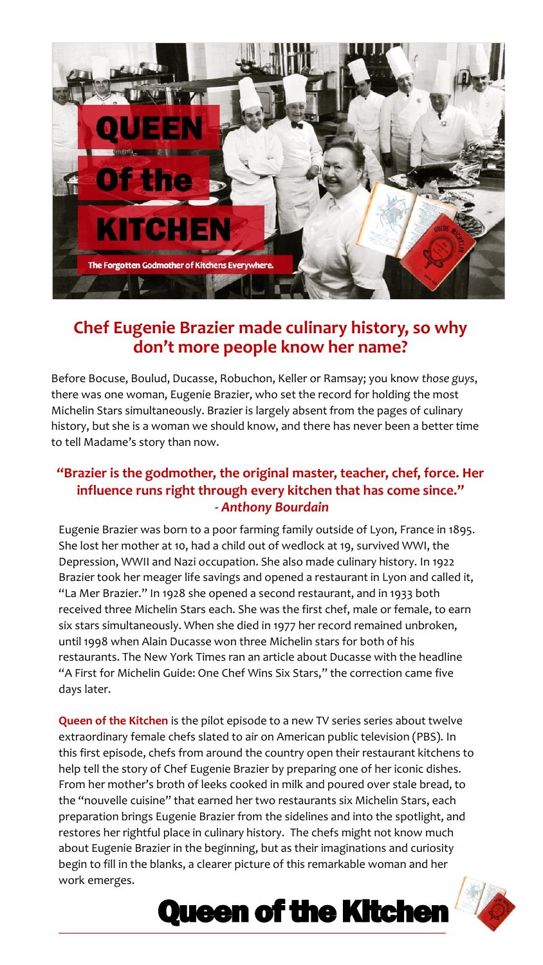

## **Chef Eugenie Brazier made culinary history, so why don't more people know her name?**

Before Bocuse, Boulud, Ducasse, Robuchon, Keller or Ramsay; you know *those guys*, there was one woman, Eugenie Brazier, who set the record for holding the most Michelin Stars simultaneously. Brazier is largely absent from the pages of culinary history, but she is a woman we should know, and there has never been a better time to tell Madame's story than now.

### **"Brazier is the godmother, the original master, teacher, chef, force. Her influence runs right through every kitchen that has come since."** *- Anthony Bourdain*

Eugenie Brazier was born to a poor farming family outside of Lyon, France in 1895. She lost her mother at 10, had a child out of wedlock at 19, survived WWI, the Depression, WWII and Nazi occupation. She also made culinary history. In 1922 Brazier took her meager life savings and opened a restaurant in Lyon and called it, "La Mer Brazier." In 1928 she opened a second restaurant, and in 1933 both received three Michelin Stars each. She was the first chef, male or female, to earn six stars simultaneously. When she died in 1977 her record remained unbroken, until 1998 when Alain Ducasse won three Michelin stars for both of his restaurants. The New York Times ran an article about Ducasse with the headline "A First for Michelin Guide: One Chef Wins Six Stars," the correction came five days later.

**Queen of the Kitchen** is the pilot episode to a new TV series series about twelve extraordinary female chefs slated to air on American public television (PBS). In this first episode, chefs from around the country open their restaurant kitchens to help tell the story of Chef Eugenie Brazier by preparing one of her iconic dishes. From her mother's broth of leeks cooked in milk and poured over stale bread, to the "nouvelle cuisine" that earned her two restaurants six Michelin Stars, each preparation brings Eugenie Brazier from the sidelines and into the spotlight, and restores her rightful place in culinary history. The chefs might not know much about Eugenie Brazier in the beginning, but as their imaginations and curiosity begin to fill in the blanks, a clearer picture of this remarkable woman and her work emerges.